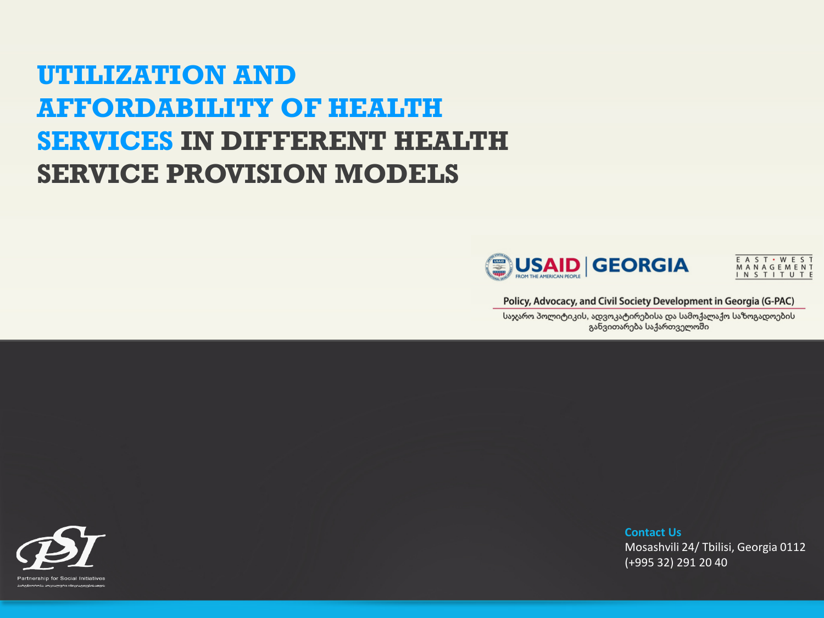### **UTILIZATION AND AFFORDABILITY OF HEALTH SERVICES IN DIFFERENT HEALTH SERVICE PROVISION MODELS**





Policy, Advocacy, and Civil Society Development in Georgia (G-PAC)

საჯარო პოლიტიკის, ადვოკატირებისა და სამოქალაქო საზოგადოების განვითარება საქართველოში

Partnership for Social Initiatives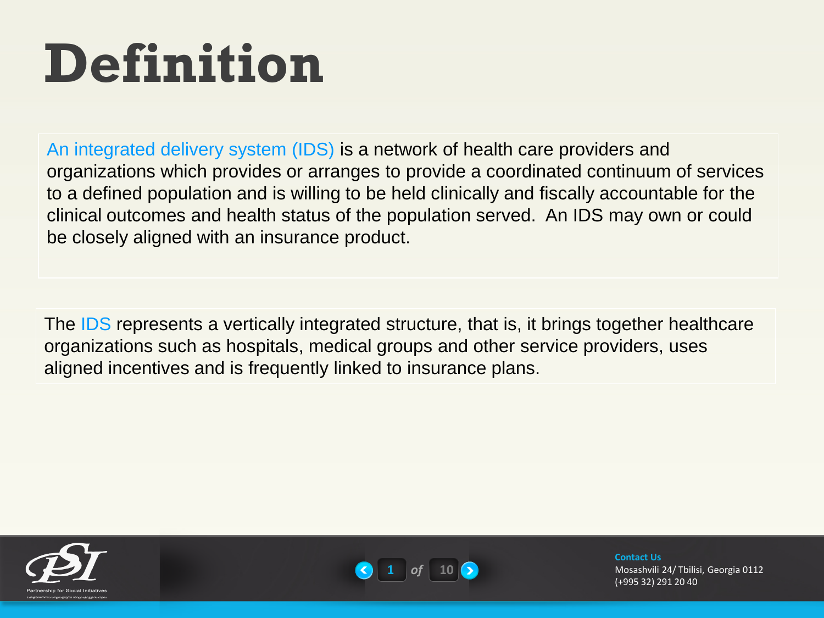# **Definition**

An integrated delivery system (IDS) is a network of health care providers and organizations which provides or arranges to provide a coordinated continuum of services to a defined population and is willing to be held clinically and fiscally accountable for the clinical outcomes and health status of the population served. An IDS may own or could be closely aligned with an insurance product.

The IDS represents a vertically integrated structure, that is, it brings together healthcare organizations such as hospitals, medical groups and other service providers, uses aligned incentives and is frequently linked to insurance plans.



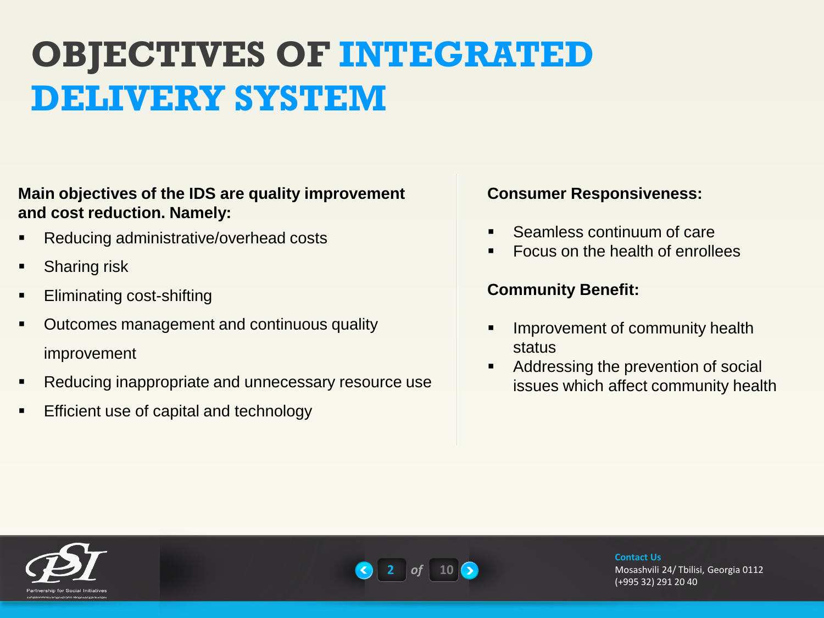## **OBJECTIVES OF INTEGRATED DELIVERY SYSTEM**

### **Main objectives of the IDS are quality improvement and cost reduction. Namely:**

- Reducing administrative/overhead costs
- Sharing risk
- Eliminating cost-shifting
- Outcomes management and continuous quality improvement
- Reducing inappropriate and unnecessary resource use
- Efficient use of capital and technology

### **Consumer Responsiveness:**

- Seamless continuum of care
- **Focus on the health of enrollees**

### **Community Benefit:**

- **Improvement of community health** status
- Addressing the prevention of social issues which affect community health



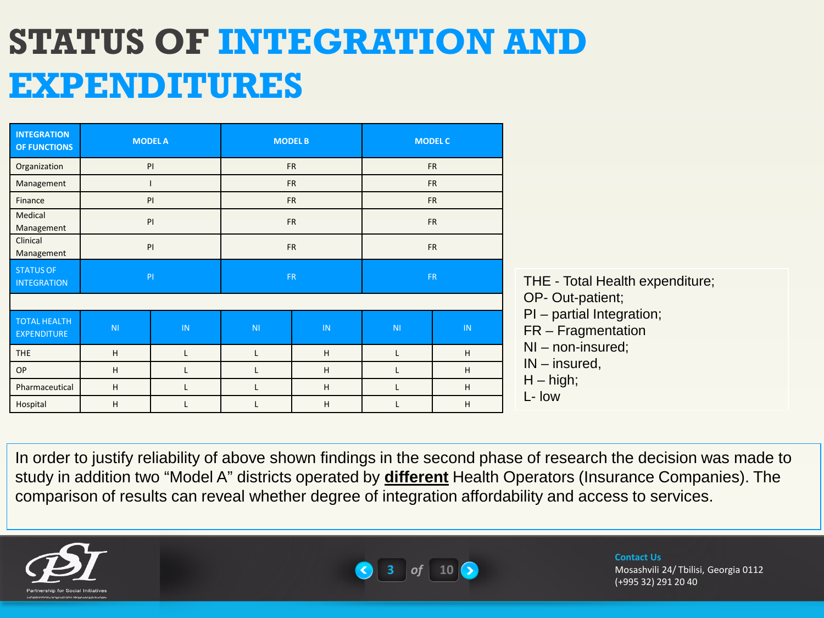# **STATUS OF INTEGRATION AND EXPENDITURES**

| <b>INTEGRATION</b><br>OF FUNCTIONS        |                | <b>MODEL A</b><br><b>MODEL B</b><br><b>MODEL C</b> |                |           |                |           |  |
|-------------------------------------------|----------------|----------------------------------------------------|----------------|-----------|----------------|-----------|--|
| Organization                              |                | PI                                                 |                | <b>FR</b> |                | <b>FR</b> |  |
| Management                                |                |                                                    | <b>FR</b>      |           | <b>FR</b>      |           |  |
| Finance                                   |                | PI                                                 | <b>FR</b>      |           | <b>FR</b>      |           |  |
| Medical<br>Management                     |                | PI                                                 | <b>FR</b>      |           | <b>FR</b>      |           |  |
| Clinical<br>Management                    |                | PI                                                 | <b>FR</b>      |           | <b>FR</b>      |           |  |
| <b>STATUS OF</b><br><b>INTEGRATION</b>    | PI             |                                                    | <b>FR</b>      |           | <b>FR</b>      |           |  |
|                                           |                |                                                    |                |           |                |           |  |
| <b>TOTAL HEALTH</b><br><b>EXPENDITURE</b> | N <sub>1</sub> | IN                                                 | N <sub>1</sub> | IN        | N <sub>1</sub> | IN.       |  |
| <b>THE</b>                                | H              |                                                    |                | H         |                | H         |  |
| <b>OP</b>                                 | H              | L                                                  | L              | H         | L              | H         |  |
| Pharmaceutical                            | H              | L                                                  | L              | H         | L              | H         |  |
| Hospital                                  | H              |                                                    |                | H         |                | H         |  |

In order to justify reliability of above shown findings in the second phase of research the decision was made to study in addition two "Model A" districts operated by **different** Health Operators (Insurance Companies). The comparison of results can reveal whether degree of integration affordability and access to services.





#### **Contact Us**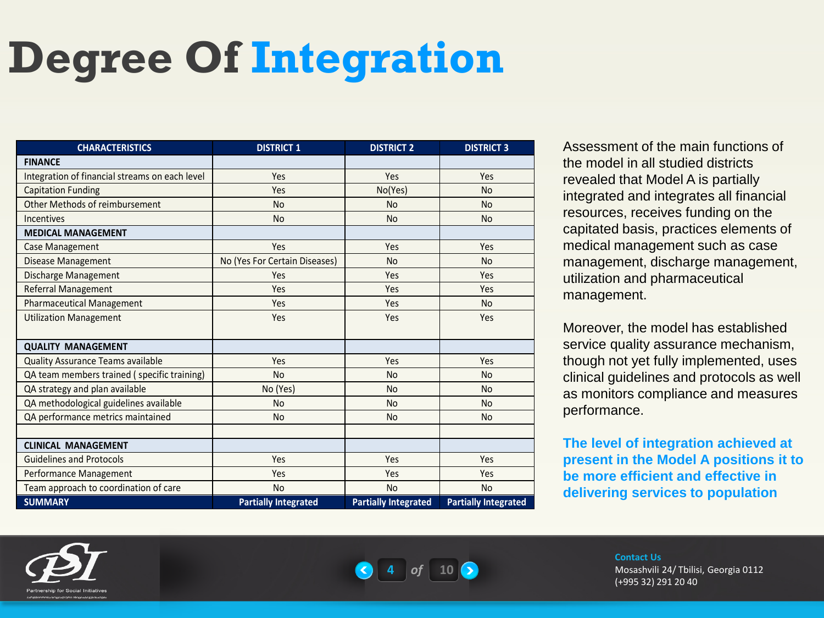# **Degree Of Integration**

| <b>CHARACTERISTICS</b>                         | <b>DISTRICT 1</b>             | <b>DISTRICT 2</b>           | <b>DISTRICT 3</b>           |
|------------------------------------------------|-------------------------------|-----------------------------|-----------------------------|
| <b>FINANCE</b>                                 |                               |                             |                             |
| Integration of financial streams on each level | Yes                           | Yes                         | Yes                         |
| <b>Capitation Funding</b>                      | Yes                           | No(Yes)                     | <b>No</b>                   |
| Other Methods of reimbursement                 | <b>No</b>                     | <b>No</b>                   | <b>No</b>                   |
| Incentives                                     | <b>No</b>                     | <b>No</b>                   | <b>No</b>                   |
| <b>MEDICAL MANAGEMENT</b>                      |                               |                             |                             |
| Case Management                                | Yes                           | Yes                         | Yes                         |
| <b>Disease Management</b>                      | No (Yes For Certain Diseases) | <b>No</b>                   | <b>No</b>                   |
| Discharge Management                           | Yes                           | Yes                         | Yes                         |
| Referral Management                            | Yes                           | Yes                         | Yes                         |
| <b>Pharmaceutical Management</b>               | Yes                           | Yes                         | <b>No</b>                   |
| <b>Utilization Management</b>                  | Yes                           | Yes                         | Yes                         |
|                                                |                               |                             |                             |
| <b>QUALITY MANAGEMENT</b>                      |                               |                             |                             |
| <b>Quality Assurance Teams available</b>       | Yes                           | Yes                         | Yes                         |
| QA team members trained (specific training)    | <b>No</b>                     | <b>No</b>                   | <b>No</b>                   |
| QA strategy and plan available                 | No (Yes)                      | N <sub>o</sub>              | <b>No</b>                   |
| QA methodological guidelines available         | <b>No</b>                     | N <sub>o</sub>              | <b>No</b>                   |
| QA performance metrics maintained              | <b>No</b>                     | <b>No</b>                   | <b>No</b>                   |
|                                                |                               |                             |                             |
| <b>CLINICAL MANAGEMENT</b>                     |                               |                             |                             |
| <b>Guidelines and Protocols</b>                | Yes                           | Yes                         | Yes                         |
| Performance Management                         | Yes                           | Yes                         | Yes                         |
| Team approach to coordination of care          | <b>No</b>                     | <b>No</b>                   | <b>No</b>                   |
| <b>SUMMARY</b>                                 | <b>Partially Integrated</b>   | <b>Partially Integrated</b> | <b>Partially Integrated</b> |

Assessment of the main functions of the model in all studied districts revealed that Model A is partially integrated and integrates all financial resources, receives funding on the capitated basis, practices elements of medical management such as case management, discharge management, utilization and pharmaceutical management.

Moreover, the model has established service quality assurance mechanism, though not yet fully implemented, uses clinical guidelines and protocols as well as monitors compliance and measures performance.

**The level of integration achieved at present in the Model A positions it to be more efficient and effective in delivering services to population**





#### **Contact Us**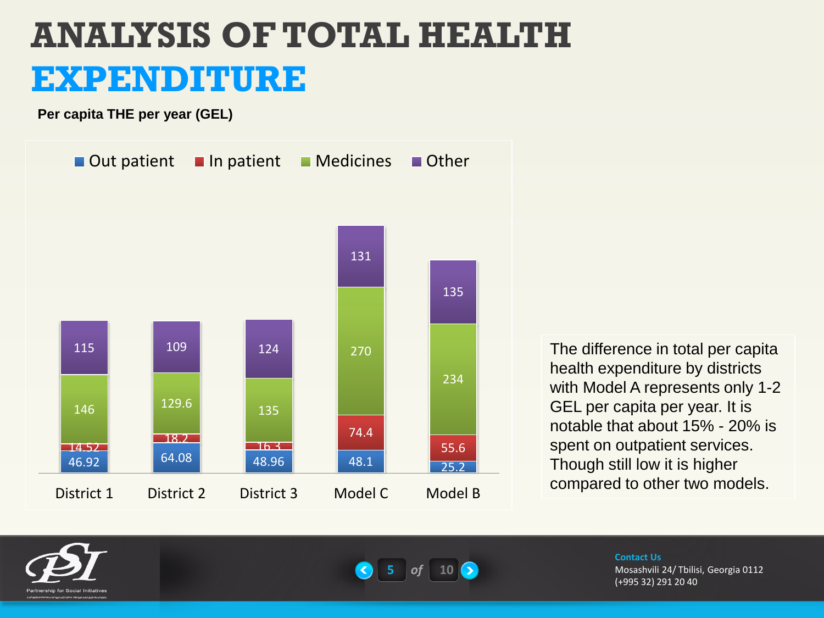**Per capita THE per year (GEL)**



The difference in total per capita health expenditure by districts with Model A represents only 1-2 GEL per capita per year. It is notable that about 15% - 20% is spent on outpatient services. Though still low it is higher compared to other two models.





#### **Contact Us**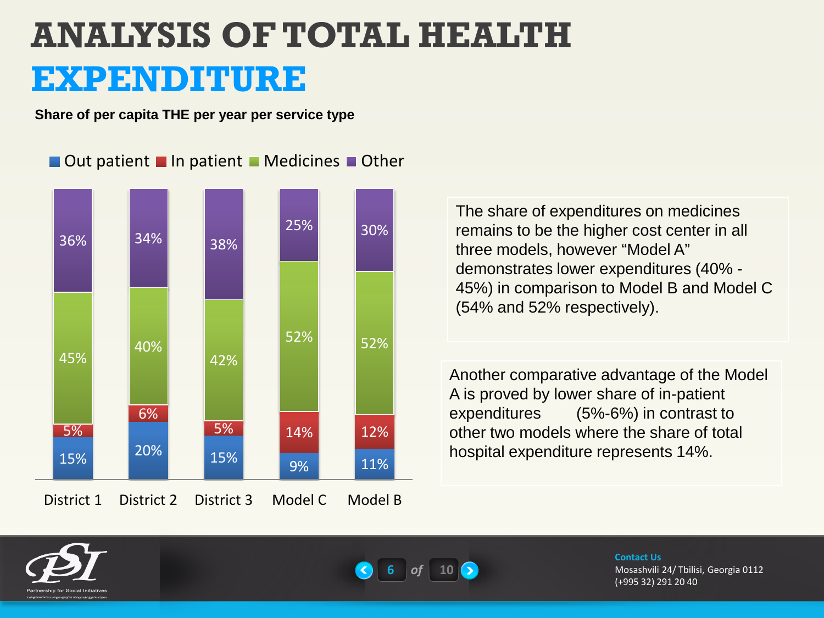**Share of per capita THE per year per service type**

 $\blacksquare$  Out patient  $\blacksquare$  In patient  $\blacksquare$  Medicines  $\blacksquare$  Other



The share of expenditures on medicines remains to be the higher cost center in all three models, however "Model A" demonstrates lower expenditures (40% - 45%) in comparison to Model B and Model C (54% and 52% respectively).

Another comparative advantage of the Model A is proved by lower share of in-patient expenditures (5%-6%) in contrast to other two models where the share of total hospital expenditure represents 14%.





#### **Contact Us**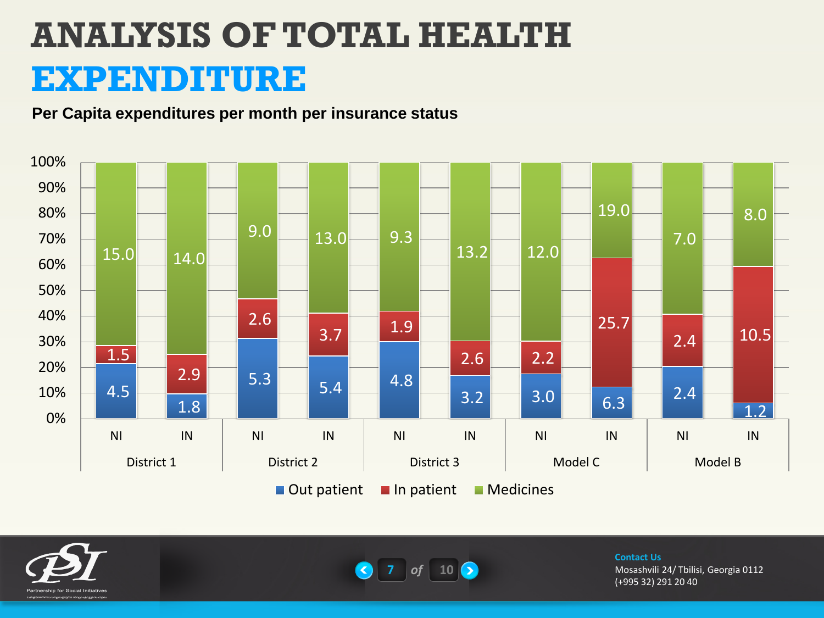#### **Per Capita expenditures per month per insurance status**







#### **Contact Us**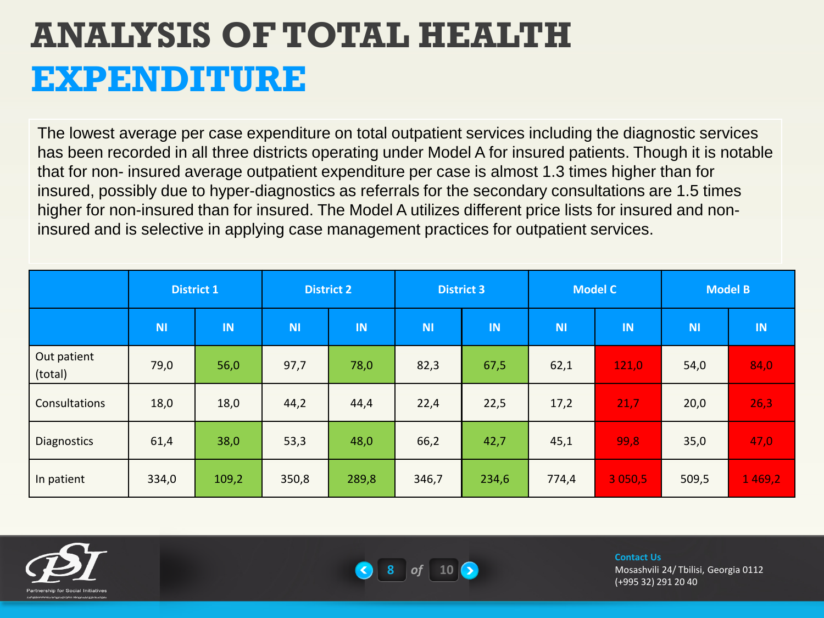The lowest average per case expenditure on total outpatient services including the diagnostic services has been recorded in all three districts operating under Model A for insured patients. Though it is notable that for non- insured average outpatient expenditure per case is almost 1.3 times higher than for insured, possibly due to hyper-diagnostics as referrals for the secondary consultations are 1.5 times higher for non-insured than for insured. The Model A utilizes different price lists for insured and noninsured and is selective in applying case management practices for outpatient services.

|                        | <b>District 1</b> |       | <b>District 2</b> |       | <b>District 3</b> |       | <b>Model C</b> |           | <b>Model B</b> |           |
|------------------------|-------------------|-------|-------------------|-------|-------------------|-------|----------------|-----------|----------------|-----------|
|                        | <b>NI</b>         | IN    | <b>NI</b>         | IN    | <b>NI</b>         | IN    | <b>NI</b>      | <b>IN</b> | <b>NI</b>      | <b>IN</b> |
| Out patient<br>(total) | 79,0              | 56,0  | 97,7              | 78,0  | 82,3              | 67,5  | 62,1           | 121,0     | 54,0           | 84,0      |
| Consultations          | 18,0              | 18,0  | 44,2              | 44,4  | 22,4              | 22,5  | 17,2           | 21,7      | 20,0           | 26,3      |
| <b>Diagnostics</b>     | 61,4              | 38,0  | 53,3              | 48,0  | 66,2              | 42,7  | 45,1           | 99,8      | 35,0           | 47,0      |
| In patient             | 334,0             | 109,2 | 350,8             | 289,8 | 346,7             | 234,6 | 774,4          | 3050,5    | 509,5          | 1469,2    |





#### **Contact Us**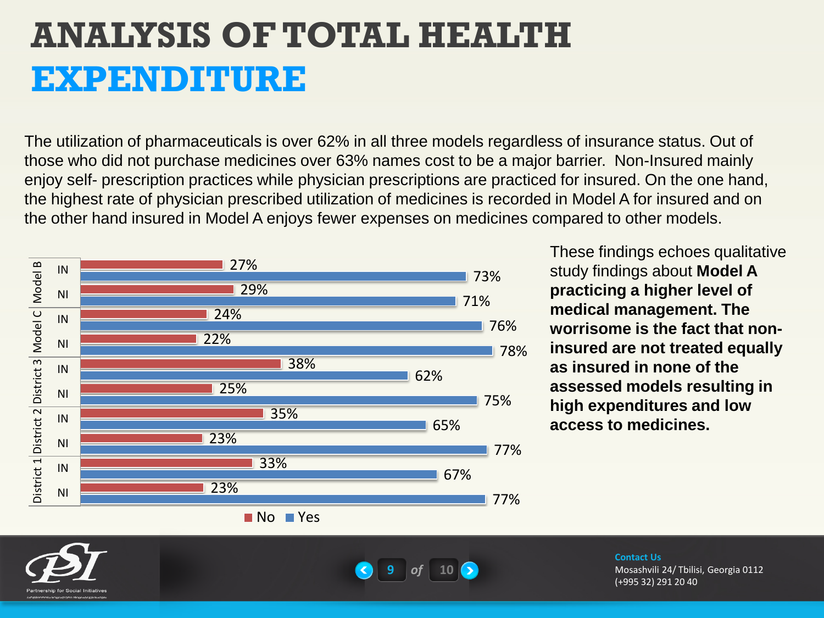The utilization of pharmaceuticals is over 62% in all three models regardless of insurance status. Out of those who did not purchase medicines over 63% names cost to be a major barrier. Non-Insured mainly enjoy self- prescription practices while physician prescriptions are practiced for insured. On the one hand, the highest rate of physician prescribed utilization of medicines is recorded in Model A for insured and on the other hand insured in Model A enjoys fewer expenses on medicines compared to other models.



These findings echoes qualitative study findings about **Model A practicing a higher level of medical management. The worrisome is the fact that noninsured are not treated equally as insured in none of the assessed models resulting in high expenditures and low access to medicines.**





#### **Contact Us**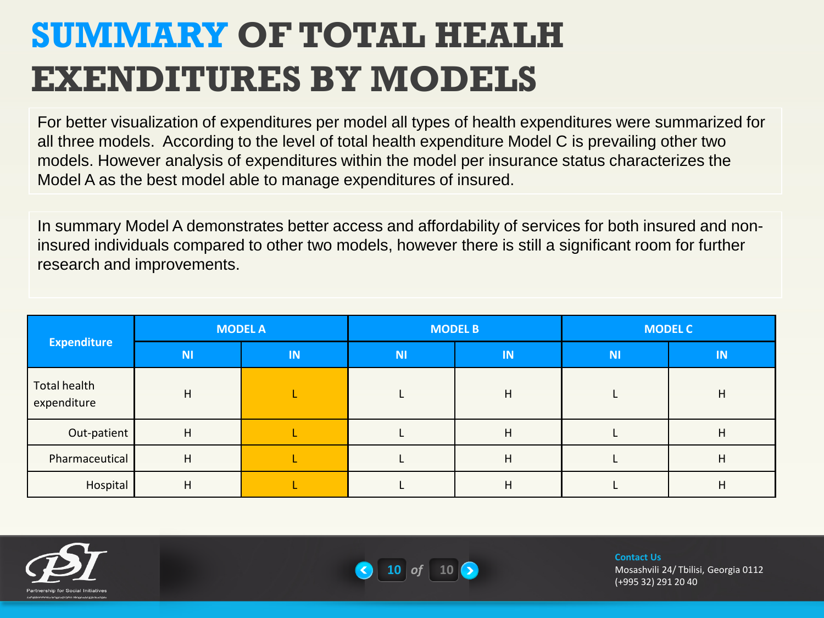## **SUMMARY OF TOTAL HEALH EXENDITURES BY MODELS**

For better visualization of expenditures per model all types of health expenditures were summarized for all three models. According to the level of total health expenditure Model C is prevailing other two models. However analysis of expenditures within the model per insurance status characterizes the Model A as the best model able to manage expenditures of insured.

In summary Model A demonstrates better access and affordability of services for both insured and noninsured individuals compared to other two models, however there is still a significant room for further research and improvements.

|                             |                           | <b>MODEL A</b> |           | <b>MODEL B</b> | <b>MODEL C</b> |    |  |
|-----------------------------|---------------------------|----------------|-----------|----------------|----------------|----|--|
| <b>Expenditure</b>          | $\mathsf{M}^{\mathsf{t}}$ | IN             | <b>NI</b> | IN             | <b>NI</b>      | IN |  |
| Total health<br>expenditure | н                         |                |           | H              |                | н  |  |
| Out-patient                 | H                         |                |           | H              |                | н  |  |
| Pharmaceutical              | н                         |                |           | H              |                | н  |  |
| Hospital                    | н                         |                |           | H              |                | н  |  |





**Contact Us**